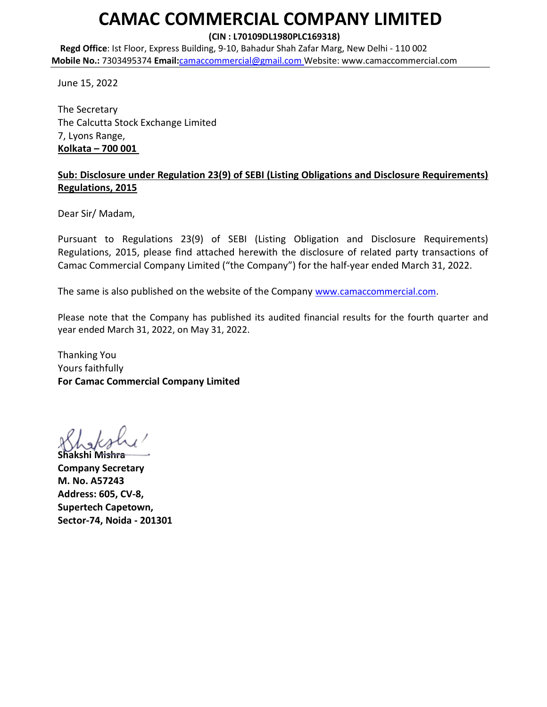# CAMAC COMMERCIAL COMPANY LIMITED

(CIN : L70109DL1980PLC169318)

Regd Office: Ist Floor, Express Building, 9-10, Bahadur Shah Zafar Marg, New Delhi - 110 002 Mobile No.: 7303495374 Email:camaccommercial@gmail.com Website: www.camaccommercial.com

June 15, 2022

The Secretary The Calcutta Stock Exchange Limited 7, Lyons Range, Kolkata – 700 001

## Sub: Disclosure under Regulation 23(9) of SEBI (Listing Obligations and Disclosure Requirements) Regulations, 2015

Dear Sir/ Madam,

Pursuant to Regulations 23(9) of SEBI (Listing Obligation and Disclosure Requirements) Regulations, 2015, please find attached herewith the disclosure of related party transactions of Camac Commercial Company Limited ("the Company") for the half-year ended March 31, 2022.

The same is also published on the website of the Company www.camaccommercial.com.

Please note that the Company has published its audited financial results for the fourth quarter and year ended March 31, 2022, on May 31, 2022.

Thanking You Yours faithfully For Camac Commercial Company Limited

Shakshi M<del>ishra</del> Company Secretary M. No. A57243 Address: 605, CV-8, Supertech Capetown, Sector-74, Noida - 201301